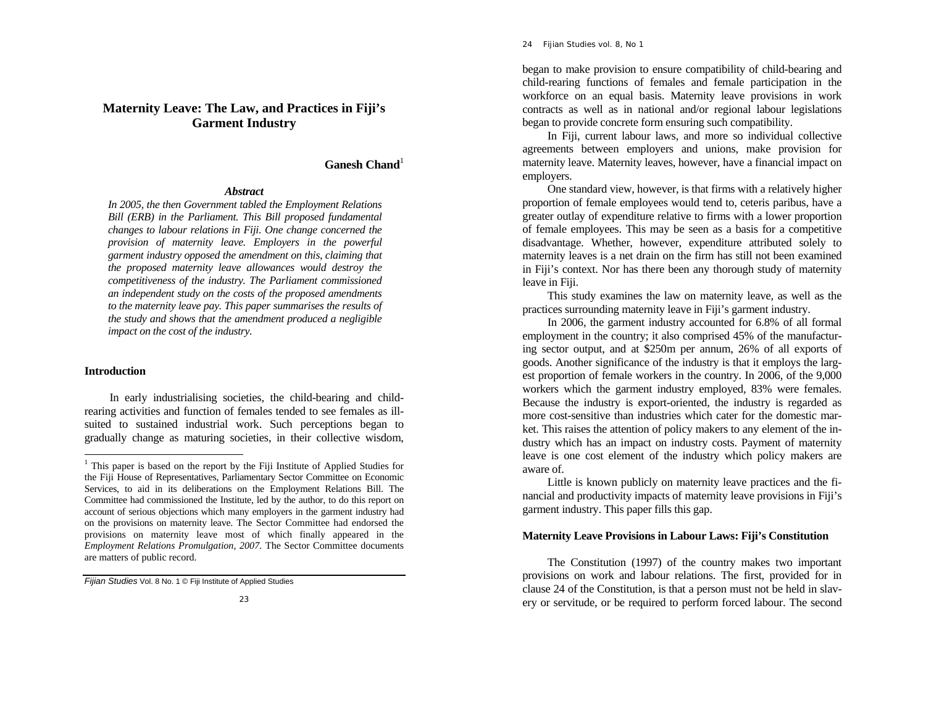#### 24 *Fijian Studies* vol. 8, No 1

# **Maternity Leave: The Law, and Practices in Fiji's Garment Industry**

# **Ganesh Chand**<sup>1</sup>

#### *Abstract*

*In 2005, the then Government tabled the Employment Relations Bill (ERB) in the Parliament. This Bill proposed fundamental changes to labour relations in Fiji. One change concerned the provision of maternity leave. Employers in the powerful garment industry opposed the amendment on this, claiming that the proposed maternity leave allowances would destroy the competitiveness of the industry. The Parliament commissioned an independent study on the costs of the proposed amendments to the maternity leave pay. This paper summarises the results of the study and shows that the amendment produced a negligible impact on the cost of the industry.* 

### **Introduction**

 In early industrialising societies, the child-bearing and childrearing activities and function of females tended to see females as illsuited to sustained industrial work. Such perceptions began to gradually change as maturing societies, in their collective wisdom,

*Fijian Studies* Vol. 8 No. 1 © Fiji Institute of Applied Studies

began to make provision to ensure compatibility of child-bearing and child-rearing functions of females and female participation in the workforce on an equal basis. Maternity leave provisions in work contracts as well as in national and/or regional labour legislations began to provide concrete form ensuring such compatibility.

 In Fiji, current labour laws, and more so individual collective agreements between employers and unions, make provision for maternity leave. Maternity leaves, however, have a financial impact on employers.

One standard view, however, is that firms with a relatively higher proportion of female employees would tend to, ceteris paribus, have a greater outlay of expenditure relative to firms with a lower proportion of female employees. This may be seen as a basis for a competitive disadvantage. Whether, however, expenditure attributed solely to maternity leaves is a net drain on the firm has still not been examined in Fiji's context. Nor has there been any thorough study of maternity leave in Fiji.

 This study examines the law on maternity leave, as well as the practices surrounding maternity leave in Fiji's garment industry.

In 2006, the garment industry accounted for 6.8% of all formal employment in the country; it also comprised 45% of the manufacturing sector output, and at \$250m per annum, 26% of all exports of goods. Another significance of the industry is that it employs the largest proportion of female workers in the country. In 2006, of the 9,000 workers which the garment industry employed, 83% were females. Because the industry is export-oriented, the industry is regarded as more cost-sensitive than industries which cater for the domestic market. This raises the attention of policy makers to any element of the industry which has an impact on industry costs. Payment of maternity leave is one cost element of the industry which policy makers are aware of.

 Little is known publicly on maternity leave practices and the financial and productivity impacts of maternity leave provisions in Fiji's garment industry. This paper fills this gap.

### **Maternity Leave Provisions in Labour Laws: Fiji's Constitution**

 The Constitution (1997) of the country makes two important provisions on work and labour relations. The first, provided for in clause 24 of the Constitution, is that a person must not be held in slavery or servitude, or be required to perform forced labour. The second

<sup>&</sup>lt;sup>1</sup> This paper is based on the report by the Fiji Institute of Applied Studies for the Fiji House of Representatives, Parliamentary Sector Committee on Economic Services, to aid in its deliberations on the Employment Relations Bill. The Committee had commissioned the Institute, led by the author, to do this report on account of serious objections which many employers in the garment industry had on the provisions on maternity leave. The Sector Committee had endorsed the provisions on maternity leave most of which finally appeared in the *Employment Relations Promulgation, 2007*. The Sector Committee documents are matters of public record.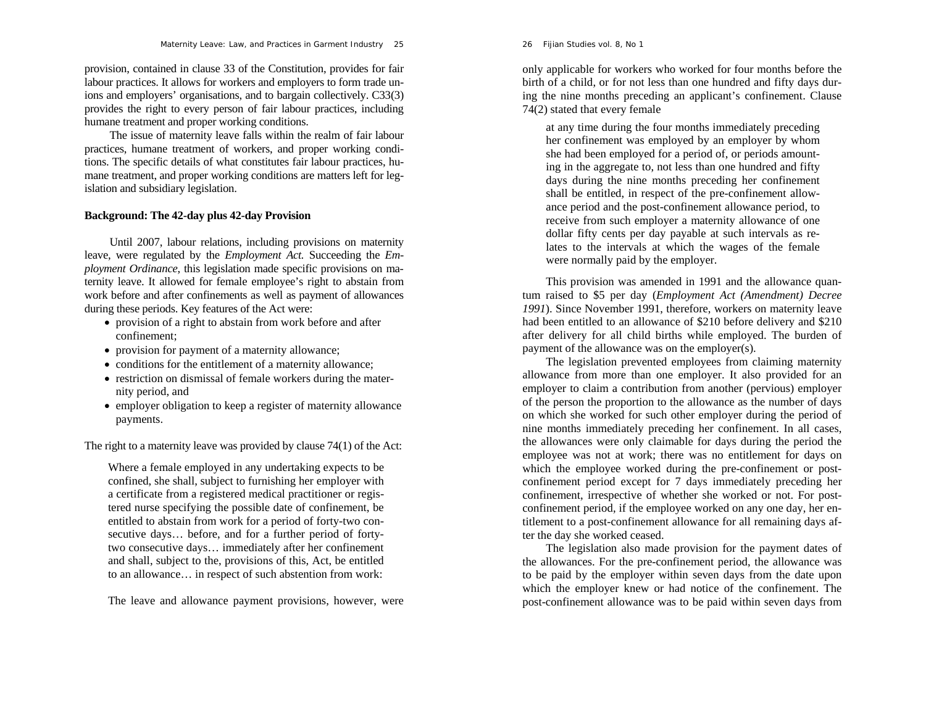#### 26 *Fijian Studies* vol. 8, No 1

#### *Maternity Leave: Law, and Practices in Garment Industry* 25

provision, contained in clause 33 of the Constitution, provides for fair labour practices. It allows for workers and employers to form trade unions and employers' organisations, and to bargain collectively. C33(3) provides the right to every person of fair labour practices, including humane treatment and proper working conditions.

 The issue of maternity leave falls within the realm of fair labour practices, humane treatment of workers, and proper working conditions. The specific details of what constitutes fair labour practices, humane treatment, and proper working conditions are matters left for legislation and subsidiary legislation.

# **Background: The 42-day plus 42-day Provision**

 Until 2007, labour relations, including provisions on maternity leave, were regulated by the *Employment Act.* Succeeding the *Employment Ordinance*, this legislation made specific provisions on maternity leave. It allowed for female employee's right to abstain from work before and after confinements as well as payment of allowances during these periods. Key features of the Act were:

- provision of a right to abstain from work before and after confinement;
- provision for payment of a maternity allowance;
- conditions for the entitlement of a maternity allowance;
- restriction on dismissal of female workers during the maternity period, and
- employer obligation to keep a register of maternity allowance payments.

The right to a maternity leave was provided by clause 74(1) of the Act:

Where a female employed in any undertaking expects to be confined, she shall, subject to furnishing her employer with a certificate from a registered medical practitioner or registered nurse specifying the possible date of confinement, be entitled to abstain from work for a period of forty-two consecutive days… before, and for a further period of fortytwo consecutive days… immediately after her confinement and shall, subject to the, provisions of this, Act, be entitled to an allowance… in respect of such abstention from work:

The leave and allowance payment provisions, however, were

only applicable for workers who worked for four months before the birth of a child, or for not less than one hundred and fifty days during the nine months preceding an applicant's confinement. Clause 74(2) stated that every female

at any time during the four months immediately preceding her confinement was employed by an employer by whom she had been employed for a period of, or periods amounting in the aggregate to, not less than one hundred and fifty days during the nine months preceding her confinement shall be entitled, in respect of the pre-confinement allowance period and the post-confinement allowance period, to receive from such employer a maternity allowance of one dollar fifty cents per day payable at such intervals as relates to the intervals at which the wages of the female were normally paid by the employer.

This provision was amended in 1991 and the allowance quantum raised to \$5 per day (*Employment Act (Amendment) Decree 1991*). Since November 1991, therefore, workers on maternity leave had been entitled to an allowance of \$210 before delivery and \$210 after delivery for all child births while employed. The burden of payment of the allowance was on the employer(s).

The legislation prevented employees from claiming maternity allowance from more than one employer. It also provided for an employer to claim a contribution from another (pervious) employer of the person the proportion to the allowance as the number of days on which she worked for such other employer during the period of nine months immediately preceding her confinement. In all cases, the allowances were only claimable for days during the period the employee was not at work; there was no entitlement for days on which the employee worked during the pre-confinement or postconfinement period except for 7 days immediately preceding her confinement, irrespective of whether she worked or not. For postconfinement period, if the employee worked on any one day, her entitlement to a post-confinement allowance for all remaining days after the day she worked ceased.

The legislation also made provision for the payment dates of the allowances. For the pre-confinement period, the allowance was to be paid by the employer within seven days from the date upon which the employer knew or had notice of the confinement. The post-confinement allowance was to be paid within seven days from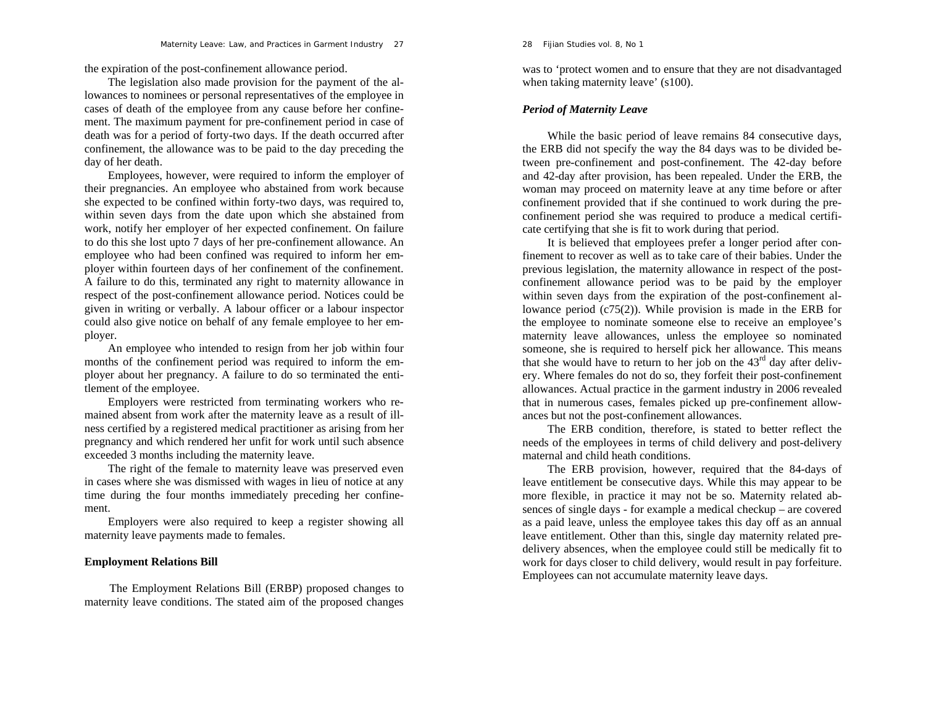the expiration of the post-confinement allowance period.

The legislation also made provision for the payment of the allowances to nominees or personal representatives of the employee in cases of death of the employee from any cause before her confinement. The maximum payment for pre-confinement period in case of death was for a period of forty-two days. If the death occurred after confinement, the allowance was to be paid to the day preceding the day of her death.

Employees, however, were required to inform the employer of their pregnancies. An employee who abstained from work because she expected to be confined within forty-two days, was required to, within seven days from the date upon which she abstained from work, notify her employer of her expected confinement. On failure to do this she lost upto 7 days of her pre-confinement allowance. An employee who had been confined was required to inform her employer within fourteen days of her confinement of the confinement. A failure to do this, terminated any right to maternity allowance in respect of the post-confinement allowance period. Notices could be given in writing or verbally. A labour officer or a labour inspector could also give notice on behalf of any female employee to her employer.

An employee who intended to resign from her job within four months of the confinement period was required to inform the employer about her pregnancy. A failure to do so terminated the entitlement of the employee.

Employers were restricted from terminating workers who remained absent from work after the maternity leave as a result of illness certified by a registered medical practitioner as arising from her pregnancy and which rendered her unfit for work until such absence exceeded 3 months including the maternity leave.

The right of the female to maternity leave was preserved even in cases where she was dismissed with wages in lieu of notice at any time during the four months immediately preceding her confinement.

Employers were also required to keep a register showing all maternity leave payments made to females.

# **Employment Relations Bill**

The Employment Relations Bill (ERBP) proposed changes to maternity leave conditions. The stated aim of the proposed changes

#### 28 *Fijian Studies* vol. 8, No 1

was to 'protect women and to ensure that they are not disadvantaged when taking maternity leave' (s100).

# *Period of Maternity Leave*

While the basic period of leave remains 84 consecutive days, the ERB did not specify the way the 84 days was to be divided between pre-confinement and post-confinement. The 42-day before and 42-day after provision, has been repealed. Under the ERB, the woman may proceed on maternity leave at any time before or after confinement provided that if she continued to work during the preconfinement period she was required to produce a medical certificate certifying that she is fit to work during that period.

It is believed that employees prefer a longer period after confinement to recover as well as to take care of their babies. Under the previous legislation, the maternity allowance in respect of the postconfinement allowance period was to be paid by the employer within seven days from the expiration of the post-confinement allowance period (c75(2)). While provision is made in the ERB for the employee to nominate someone else to receive an employee's maternity leave allowances, unless the employee so nominated someone, she is required to herself pick her allowance. This means that she would have to return to her job on the  $43<sup>rd</sup>$  day after delivery. Where females do not do so, they forfeit their post-confinement allowances. Actual practice in the garment industry in 2006 revealed that in numerous cases, females picked up pre-confinement allowances but not the post-confinement allowances.

The ERB condition, therefore, is stated to better reflect the needs of the employees in terms of child delivery and post-delivery maternal and child heath conditions.

The ERB provision, however, required that the 84-days of leave entitlement be consecutive days. While this may appear to be more flexible, in practice it may not be so. Maternity related absences of single days - for example a medical checkup – are covered as a paid leave, unless the employee takes this day off as an annual leave entitlement. Other than this, single day maternity related predelivery absences, when the employee could still be medically fit to work for days closer to child delivery, would result in pay forfeiture. Employees can not accumulate maternity leave days.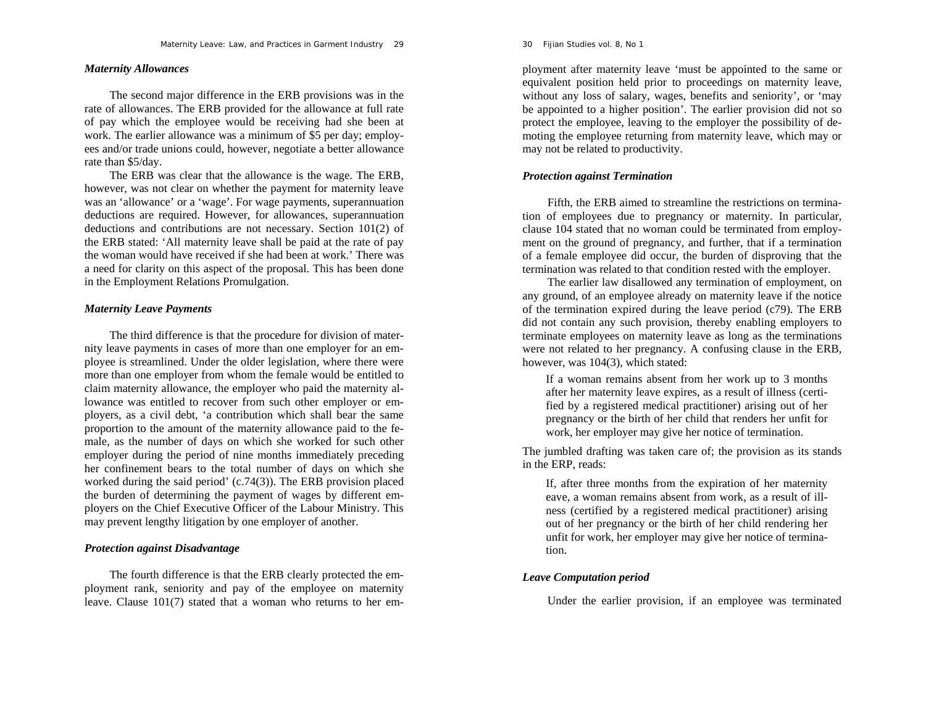### *Maternity Allowances*

The second major difference in the ERB provisions was in the rate of allowances. The ERB provided for the allowance at full rate of pay which the employee would be receiving had she been at work. The earlier allowance was a minimum of \$5 per day; employees and/or trade unions could, however, negotiate a better allowance rate than \$5/day.

The ERB was clear that the allowance is the wage. The ERB, however, was not clear on whether the payment for maternity leave was an 'allowance' or a 'wage'. For wage payments, superannuation deductions are required. However, for allowances, superannuation deductions and contributions are not necessary. Section 101(2) of the ERB stated: 'All maternity leave shall be paid at the rate of pay the woman would have received if she had been at work.' There was a need for clarity on this aspect of the proposal. This has been done in the Employment Relations Promulgation.

# *Maternity Leave Payments*

The third difference is that the procedure for division of maternity leave payments in cases of more than one employer for an employee is streamlined. Under the older legislation, where there were more than one employer from whom the female would be entitled to claim maternity allowance, the employer who paid the maternity allowance was entitled to recover from such other employer or employers, as a civil debt, 'a contribution which shall bear the same proportion to the amount of the maternity allowance paid to the female, as the number of days on which she worked for such other employer during the period of nine months immediately preceding her confinement bears to the total number of days on which she worked during the said period' (c.74(3)). The ERB provision placed the burden of determining the payment of wages by different employers on the Chief Executive Officer of the Labour Ministry. This may prevent lengthy litigation by one employer of another.

# *Protection against Disadvantage*

The fourth difference is that the ERB clearly protected the employment rank, seniority and pay of the employee on maternity leave. Clause 101(7) stated that a woman who returns to her em-

#### 30 *Fijian Studies* vol. 8, No 1

ployment after maternity leave 'must be appointed to the same or<br>equivalent position held prior to proceedings on maternity leave,<br>without any loss of salary, wages, benefits and seniority', or 'may<br>be appointed to a highe moting the employee returning from maternity leave, which may or may not be related to productivity.

# *Protection against Termination*

Fifth, the ERB aimed to streamline the restrictions on termina tion of employees due to pregnancy or maternity. In particular, clause 104 stated that no woman could be terminated from employ-

ment on the ground of pregnancy, and further, that if a termination<br>of a female employee did occur, the burden of disproving that the<br>termination was related to that condition rested with the employer.<br>The earlier law disa

fied by a registered medical practitioner) arising out of her<br>pregnancy or the birth of her child that renders her unfit for<br>work, her employer may give her notice of termination.<br>The jumbled drafting was taken care of; th

ness (certified by a registered medical practitioner) arising out of her pregnancy or the birth of her child rendering her unfit for work, her employer may give her notice of termina tion.

### *Leave Computation period*

Under the earlier provision, if an employee was terminated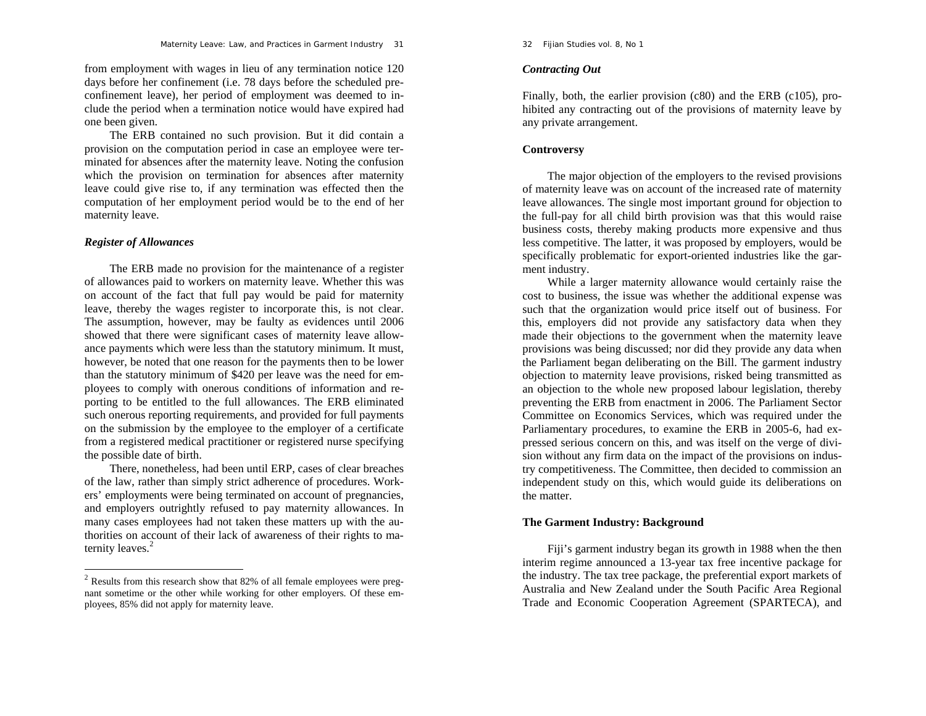from employment with wages in lieu of any termination notice 120 days before her confinement (i.e. 78 days before the scheduled preconfinement leave), her period of employment was deemed to include the period when a termination notice would have expired had one been given.

The ERB contained no such provision. But it did contain a provision on the computation period in case an employee were terminated for absences after the maternity leave. Noting the confusion which the provision on termination for absences after maternity leave could give rise to, if any termination was effected then the computation of her employment period would be to the end of her maternity leave.

# *Register of Allowances*

The ERB made no provision for the maintenance of a register of allowances paid to workers on maternity leave. Whether this was on account of the fact that full pay would be paid for maternity leave, thereby the wages register to incorporate this, is not clear. The assumption, however, may be faulty as evidences until 2006 showed that there were significant cases of maternity leave allowance payments which were less than the statutory minimum. It must, however, be noted that one reason for the payments then to be lower than the statutory minimum of \$420 per leave was the need for employees to comply with onerous conditions of information and reporting to be entitled to the full allowances. The ERB eliminated such onerous reporting requirements, and provided for full payments on the submission by the employee to the employer of a certificate from a registered medical practitioner or registered nurse specifying the possible date of birth.

There, nonetheless, had been until ERP, cases of clear breaches of the law, rather than simply strict adherence of procedures. Workers' employments were being terminated on account of pregnancies, and employers outrightly refused to pay maternity allowances. In many cases employees had not taken these matters up with the authorities on account of their lack of awareness of their rights to maternity leaves.<sup>2</sup>

32 *Fijian Studies* vol. 8, No 1

# *Contracting Out*

Finally, both, the earlier provision (c80) and the ERB (c105), prohibited any contracting out of the provisions of maternity leave by any private arrangement.

# **Controversy**

The major objection of the employers to the revised provisions of maternity leave was on account of the increased rate of maternity leave allowances. The single most important ground for objection to the full-pay for all child birth provision was that this would raise business costs, thereby making products more expensive and thus less competitive. The latter, it was proposed by employers, would be specifically problematic for export-oriented industries like the garment industry.

While a larger maternity allowance would certainly raise the cost to business, the issue was whether the additional expense was such that the organization would price itself out of business. For this, employers did not provide any satisfactory data when they made their objections to the government when the maternity leave provisions was being discussed; nor did they provide any data when the Parliament began deliberating on the Bill. The garment industry objection to maternity leave provisions, risked being transmitted as an objection to the whole new proposed labour legislation, thereby preventing the ERB from enactment in 2006. The Parliament Sector Committee on Economics Services, which was required under the Parliamentary procedures, to examine the ERB in 2005-6, had expressed serious concern on this, and was itself on the verge of division without any firm data on the impact of the provisions on industry competitiveness. The Committee, then decided to commission an independent study on this, which would guide its deliberations on the matter.

### **The Garment Industry: Background**

Fiji's garment industry began its growth in 1988 when the then interim regime announced a 13-year tax free incentive package for the industry. The tax tree package, the preferential export markets of Australia and New Zealand under the South Pacific Area Regional Trade and Economic Cooperation Agreement (SPARTECA), and

 $2$  Results from this research show that 82% of all female employees were pregnant sometime or the other while working for other employers. Of these employees, 85% did not apply for maternity leave.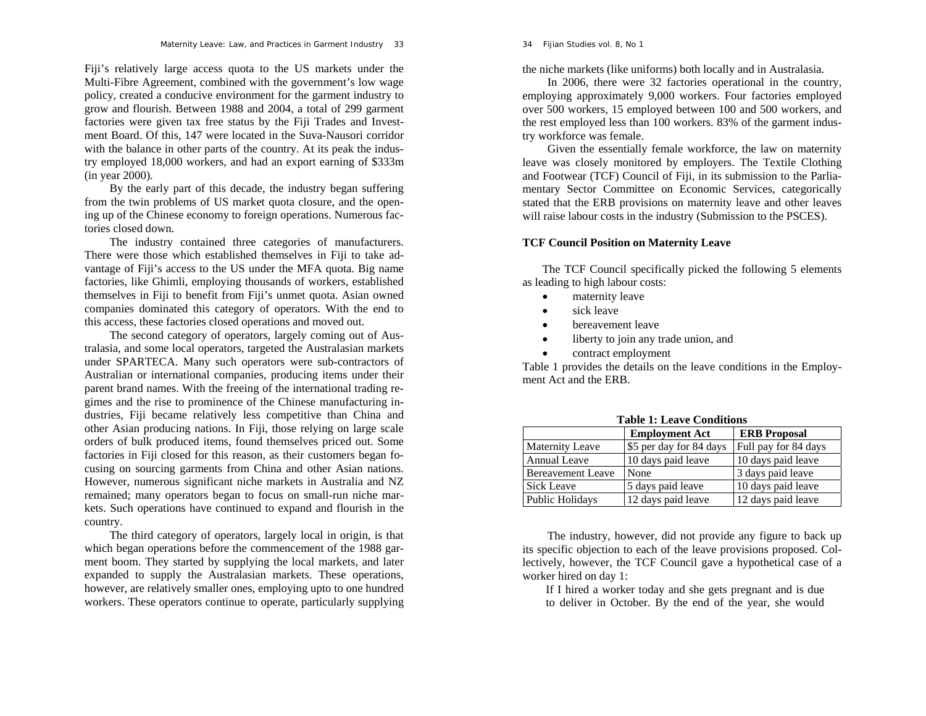Fiji's relatively large access quota to the US markets under the Multi-Fibre Agreement, combined with the government's low wage policy, created a conducive environment for the garment industry to grow and flourish. Between 1988 and 2004, a total of 299 garment factories were given tax free status by the Fiji Trades and Investment Board. Of this, 147 were located in the Suva-Nausori corridor with the balance in other parts of the country. At its peak the industry employed 18,000 workers, and had an export earning of \$333m (in year 2000).

By the early part of this decade, the industry began suffering from the twin problems of US market quota closure, and the opening up of the Chinese economy to foreign operations. Numerous factories closed down.

The industry contained three categories of manufacturers. There were those which established themselves in Fiji to take advantage of Fiji's access to the US under the MFA quota. Big name factories, like Ghimli, employing thousands of workers, established themselves in Fiji to benefit from Fiji's unmet quota. Asian owned companies dominated this category of operators. With the end to this access, these factories closed operations and moved out.

The second category of operators, largely coming out of Australasia, and some local operators, targeted the Australasian markets under SPARTECA. Many such operators were sub-contractors of Australian or international companies, producing items under their parent brand names. With the freeing of the international trading regimes and the rise to prominence of the Chinese manufacturing industries, Fiji became relatively less competitive than China and other Asian producing nations. In Fiji, those relying on large scale orders of bulk produced items, found themselves priced out. Some factories in Fiji closed for this reason, as their customers began focusing on sourcing garments from China and other Asian nations. However, numerous significant niche markets in Australia and NZ remained; many operators began to focus on small-run niche markets. Such operations have continued to expand and flourish in the country.

The third category of operators, largely local in origin, is that which began operations before the commencement of the 1988 garment boom. They started by supplying the local markets, and later expanded to supply the Australasian markets. These operations, however, are relatively smaller ones, employing upto to one hundred workers. These operators continue to operate, particularly supplying 34 *Fijian Studies* vol. 8, No 1

the niche markets (like uniforms) both locally and in Australasia.

In 2006, there were 32 factories operational in the country, employing approximately 9,000 workers. Four factories employed over 500 workers, 15 employed between 100 and 500 workers, and the rest employed less than 100 workers. 83% of the garment industry workforce was female.

Given the essentially female workforce, the law on maternity leave was closely monitored by employers. The Textile Clothing and Footwear (TCF) Council of Fiji, in its submission to the Parliamentary Sector Committee on Economic Services, categorically stated that the ERB provisions on maternity leave and other leaves will raise labour costs in the industry (Submission to the PSCES).

# **TCF Council Position on Maternity Leave**

The TCF Council specifically picked the following 5 elements as leading to high labour costs:

- 0 maternity leave
- $\bullet$ sick leave
- $\bullet$ bereavement leave
- $\bullet$ liberty to join any trade union, and
- . contract employment

Table 1 provides the details on the leave conditions in the Employment Act and the ERB.

| тарк т. есате социнопъ   |                         |                      |  |  |
|--------------------------|-------------------------|----------------------|--|--|
|                          | <b>Employment Act</b>   | <b>ERB</b> Proposal  |  |  |
| <b>Maternity Leave</b>   | \$5 per day for 84 days | Full pay for 84 days |  |  |
| <b>Annual Leave</b>      | 10 days paid leave      | 10 days paid leave   |  |  |
| <b>Bereavement Leave</b> | None                    | 3 days paid leave    |  |  |
| <b>Sick Leave</b>        | 5 days paid leave       | 10 days paid leave   |  |  |
| Public Holidays          | 12 days paid leave      | 12 days paid leave   |  |  |

**Table 1: Leave Conditions** 

The industry, however, did not provide any figure to back up its specific objection to each of the leave provisions proposed. Collectively, however, the TCF Council gave a hypothetical case of a worker hired on day 1:

If I hired a worker today and she gets pregnant and is due to deliver in October. By the end of the year, she would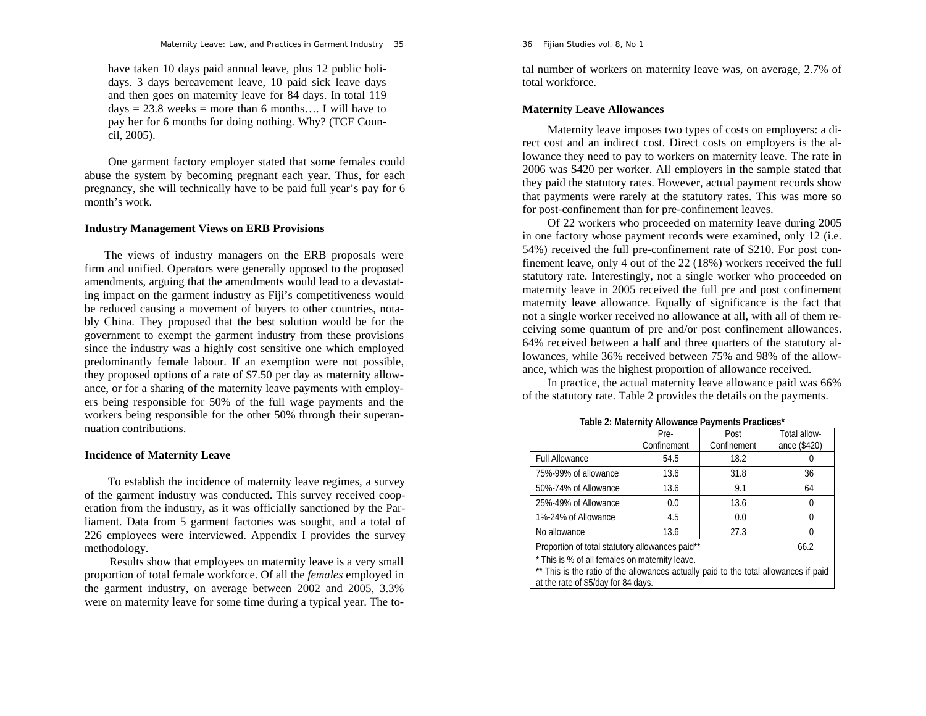#### *Maternity Leave: Law, and Practices in Garment Industry* 35

have taken 10 days paid annual leave, plus 12 public holidays. 3 days bereavement leave, 10 paid sick leave days and then goes on maternity leave for 84 days. In total 119  $days = 23.8$  weeks = more than 6 months.... I will have to pay her for 6 months for doing nothing. Why? (TCF Council, 2005).

One garment factory employer stated that some females could abuse the system by becoming pregnant each year. Thus, for each pregnancy, she will technically have to be paid full year's pay for 6 month's work.

### **Industry Management Views on ERB Provisions**

The views of industry managers on the ERB proposals were firm and unified. Operators were generally opposed to the proposed amendments, arguing that the amendments would lead to a devastating impact on the garment industry as Fiji's competitiveness would be reduced causing a movement of buyers to other countries, notably China. They proposed that the best solution would be for the government to exempt the garment industry from these provisions since the industry was a highly cost sensitive one which employed predominantly female labour. If an exemption were not possible, they proposed options of a rate of \$7.50 per day as maternity allowance, or for a sharing of the maternity leave payments with employers being responsible for 50% of the full wage payments and the workers being responsible for the other 50% through their superannuation contributions.

# **Incidence of Maternity Leave**

To establish the incidence of maternity leave regimes, a survey of the garment industry was conducted. This survey received cooperation from the industry, as it was officially sanctioned by the Parliament. Data from 5 garment factories was sought, and a total of 226 employees were interviewed. Appendix I provides the survey methodology.

Results show that employees on maternity leave is a very small proportion of total female workforce. Of all the *females* employed in the garment industry, on average between 2002 and 2005, 3.3% were on maternity leave for some time during a typical year. The to36 *Fijian Studies* vol. 8, No 1

tal number of workers on maternity leave was, on average, 2.7% of total workforce.

# **Maternity Leave Allowances**

Maternity leave imposes two types of costs on employers: a di rect cost and an indirect cost. Direct costs on employers is the al lowance they need to pay to workers on maternity leave. The rate in 2006 was \$420 per worker. All employers in the sample stated that they paid the statutory rates. However, actual payment records show that payments were r

finement leave, only 4 out of the 22 (18%) workers received the full<br>statutory rate. Interestingly, not a single worker who proceeded on<br>maternity leave in 2005 received the full pre and post confinement<br>maternity leave al ceiving some quantum of pre and/or post confinement allowances. 64% received between a half and three quarters of the statutory al lowances, while 36% received between 75% and 98% of the allow-

ance, which was the highest proportion of allowance received. In practice, the actual maternity leave allowance paid was 66% of the statutory rate. Table 2 provides the details on the payments.

|                                                                                      | Pre-        | Post        | Total allow- |  |
|--------------------------------------------------------------------------------------|-------------|-------------|--------------|--|
|                                                                                      | Confinement | Confinement | ance (\$420) |  |
| <b>Full Allowance</b>                                                                | 54.5        | 18.2        |              |  |
| 75%-99% of allowance                                                                 | 13.6        | 31.8        | 36           |  |
| 50%-74% of Allowance                                                                 | 13.6        | 9.1         | 64           |  |
| 25%-49% of Allowance                                                                 | 0.0         | 13.6        |              |  |
| 1%-24% of Allowance                                                                  | 4.5         | 0.0         |              |  |
| No allowance                                                                         | 13.6        | 27.3        |              |  |
| Proportion of total statutory allowances paid**                                      |             |             | 66.2         |  |
| * This is % of all females on maternity leave.                                       |             |             |              |  |
| ** This is the ratio of the allowances actually paid to the total allowances if paid |             |             |              |  |
| at the rate of \$5/day for 84 days.                                                  |             |             |              |  |

**Table 2: Maternity Allowance Payments Practices\***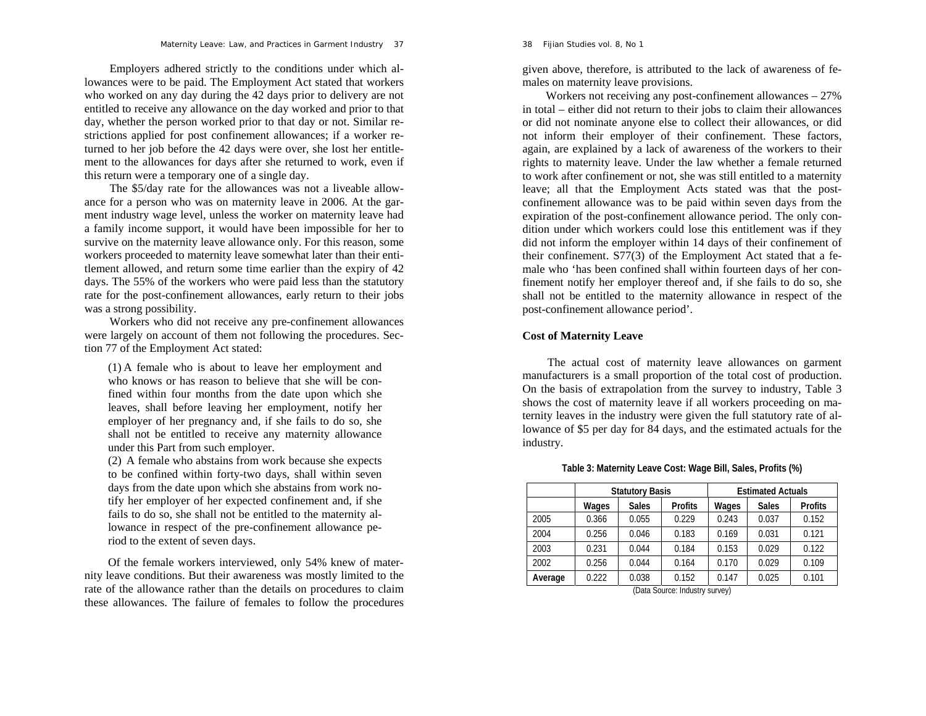Employers adhered strictly to the conditions under which allowances were to be paid. The Employment Act stated that workers who worked on any day during the 42 days prior to delivery are not entitled to receive any allowance on the day worked and prior to that day, whether the person worked prior to that day or not. Similar restrictions applied for post confinement allowances; if a worker returned to her job before the 42 days were over, she lost her entitlement to the allowances for days after she returned to work, even if this return were a temporary one of a single day.

The \$5/day rate for the allowances was not a liveable allowance for a person who was on maternity leave in 2006. At the garment industry wage level, unless the worker on maternity leave had a family income support, it would have been impossible for her to survive on the maternity leave allowance only. For this reason, some workers proceeded to maternity leave somewhat later than their entitlement allowed, and return some time earlier than the expiry of 42 days. The 55% of the workers who were paid less than the statutory rate for the post-confinement allowances, early return to their jobs was a strong possibility.

Workers who did not receive any pre-confinement allowances were largely on account of them not following the procedures. Section 77 of the Employment Act stated:

(1) A female who is about to leave her employment and who knows or has reason to believe that she will be confined within four months from the date upon which she leaves, shall before leaving her employment, notify her employer of her pregnancy and, if she fails to do so, she shall not be entitled to receive any maternity allowance under this Part from such employer.

(2) A female who abstains from work because she expects to be confined within forty-two days, shall within seven days from the date upon which she abstains from work notify her employer of her expected confinement and, if she fails to do so, she shall not be entitled to the maternity allowance in respect of the pre-confinement allowance period to the extent of seven days.

Of the female workers interviewed, only 54% knew of maternity leave conditions. But their awareness was mostly limited to the rate of the allowance rather than the details on procedures to claim these allowances. The failure of females to follow the procedures

given above, therefore, is attributed to the lack of awareness of females on maternity leave provisions.

Workers not receiving any post-confinement allowances – 27% in total – either did not return to their jobs to claim their allowances or did not nominate anyone else to collect their allowances, or did not inform their employer of their confinement. These factors, again, are explained by a lack of awareness of the workers to their rights to maternity leave. Under the law whether a female returned to work after confinement or not, she was still entitled to a maternity leave; all that the Employment Acts stated was that the postconfinement allowance was to be paid within seven days from the expiration of the post-confinement allowance period. The only condition under which workers could lose this entitlement was if they did not inform the employer within 14 days of their confinement of their confinement. S77(3) of the Employment Act stated that a female who 'has been confined shall within fourteen days of her confinement notify her employer thereof and, if she fails to do so, she shall not be entitled to the maternity allowance in respect of the post-confinement allowance period'.

# **Cost of Maternity Leave**

The actual cost of maternity leave allowances on garment manufacturers is a small proportion of the total cost of production. On the basis of extrapolation from the survey to industry, Table 3 shows the cost of maternity leave if all workers proceeding on maternity leaves in the industry were given the full statutory rate of allowance of \$5 per day for 84 days, and the estimated actuals for the industry.

|                   | <b>Statutory Basis</b> |              | <b>Estimated Actuals</b> |       |              |                |
|-------------------|------------------------|--------------|--------------------------|-------|--------------|----------------|
|                   | Wages                  | <b>Sales</b> | <b>Profits</b>           | Wages | <b>Sales</b> | <b>Profits</b> |
| 2005              | 0.366                  | 0.055        | 0.229                    | 0.243 | 0.037        | 0.152          |
| 2004              | 0.256                  | 0.046        | 0.183                    | 0.169 | 0.031        | 0.121          |
| 2003              | 0.231                  | 0.044        | 0.184                    | 0.153 | 0.029        | 0.122          |
| 2002              | 0.256                  | 0.044        | 0.164                    | 0.170 | 0.029        | 0.109          |
| Average           | 0.222                  | 0.038        | 0.152                    | 0.147 | 0.025        | 0.101          |
| $(D - 1 - C - 1)$ |                        |              |                          |       |              |                |

**Table 3: Maternity Leave Cost: Wage Bill, Sales, Profits (%)** 

(Data Source: Industry survey)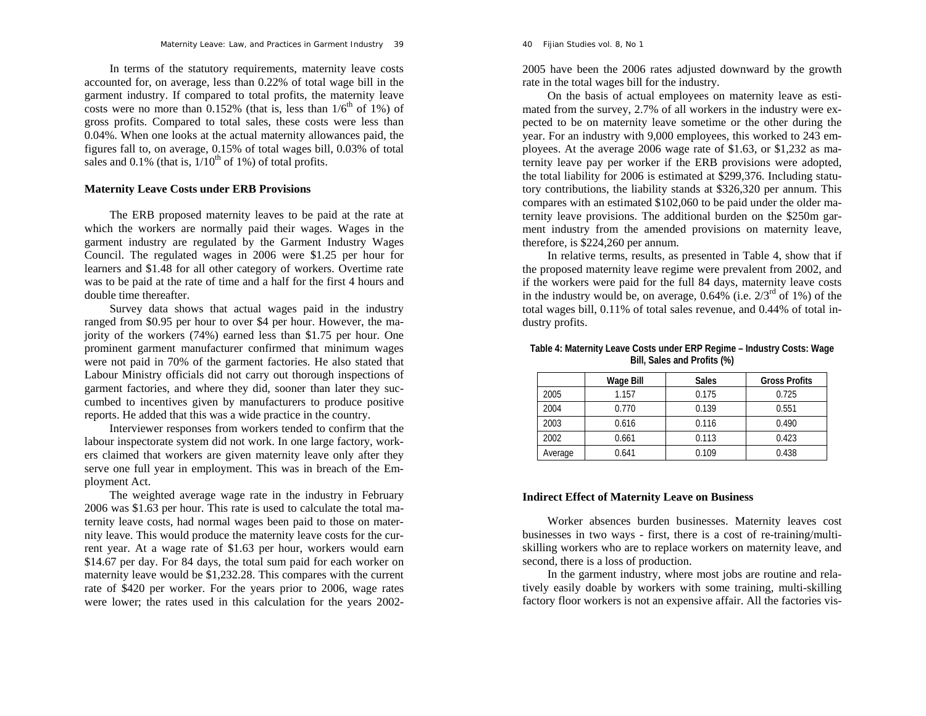#### *Maternity Leave: Law, and Practices in Garment Industry* 39

In terms of the statutory requirements, maternity leave costs accounted for, on average, less than 0.22% of total wage bill in the garment industry. If compared to total profits, the maternity leave costs were no more than  $0.152\%$  (that is, less than  $1/6<sup>th</sup>$  of 1%) of gross profits. Compared to total sales, these costs were less than 0.04%. When one looks at the actual maternity allowances paid, the figures fall to, on average, 0.15% of total wages bill, 0.03% of total sales and 0.1% (that is,  $1/10^{th}$  of 1%) of total profits.

### **Maternity Leave Costs under ERB Provisions**

The ERB proposed maternity leaves to be paid at the rate at which the workers are normally paid their wages. Wages in the garment industry are regulated by the Garment Industry Wages Council. The regulated wages in 2006 were \$1.25 per hour for learners and \$1.48 for all other category of workers. Overtime rate was to be paid at the rate of time and a half for the first 4 hours and double time thereafter.

Survey data shows that actual wages paid in the industry ranged from \$0.95 per hour to over \$4 per hour. However, the majority of the workers (74%) earned less than \$1.75 per hour. One prominent garment manufacturer confirmed that minimum wages were not paid in 70% of the garment factories. He also stated that Labour Ministry officials did not carry out thorough inspections of garment factories, and where they did, sooner than later they succumbed to incentives given by manufacturers to produce positive reports. He added that this was a wide practice in the country.

Interviewer responses from workers tended to confirm that the labour inspectorate system did not work. In one large factory, workers claimed that workers are given maternity leave only after they serve one full year in employment. This was in breach of the Employment Act.

The weighted average wage rate in the industry in February 2006 was \$1.63 per hour. This rate is used to calculate the total maternity leave costs, had normal wages been paid to those on maternity leave. This would produce the maternity leave costs for the current year. At a wage rate of \$1.63 per hour, workers would earn \$14.67 per day. For 84 days, the total sum paid for each worker on maternity leave would be \$1,232.28. This compares with the current rate of \$420 per worker. For the years prior to 2006, wage rates were lower; the rates used in this calculation for the years 20022005 have been the 2006 rates adjusted downward by the growth rate in the total wages bill for the industry.

On the basis of actual employees on maternity leave as estimated from the survey, 2.7% of all workers in the industry were expected to be on maternity leave sometime or the other during the year. For an industry with 9,000 employees, this worked to 243 employees. At the average 2006 wage rate of \$1.63, or \$1,232 as maternity leave pay per worker if the ERB provisions were adopted, the total liability for 2006 is estimated at \$299,376. Including statutory contributions, the liability stands at \$326,320 per annum. This compares with an estimated \$102,060 to be paid under the older maternity leave provisions. The additional burden on the \$250m garment industry from the amended provisions on maternity leave, therefore, is \$224,260 per annum.

In relative terms, results, as presented in Table 4, show that if the proposed maternity leave regime were prevalent from 2002, and if the workers were paid for the full 84 days, maternity leave costs in the industry would be, on average, 0.64% (i.e.  $2/3^{rd}$  of 1%) of the total wages bill, 0.11% of total sales revenue, and 0.44% of total industry profits.

|         | Wage Bill | <b>Sales</b> | <b>Gross Profits</b> |
|---------|-----------|--------------|----------------------|
| 2005    | 1.157     | 0.175        | 0.725                |
| 2004    | 0.770     | 0.139        | 0.551                |
| 2003    | 0.616     | 0.116        | 0.490                |
| 2002    | 0.661     | 0.113        | 0.423                |
| Average | 0.641     | 0.109        | 0.438                |

### **Table 4: Maternity Leave Costs under ERP Regime – Industry Costs: Wage Bill, Sales and Profits (%)**

# **Indirect Effect of Maternity Leave on Business**

Worker absences burden businesses. Maternity leaves cost businesses in two ways - first, there is a cost of re-training/multiskilling workers who are to replace workers on maternity leave, and second, there is a loss of production.

In the garment industry, where most jobs are routine and relatively easily doable by workers with some training, multi-skilling factory floor workers is not an expensive affair. All the factories vis-

#### 40 *Fijian Studies* vol. 8, No 1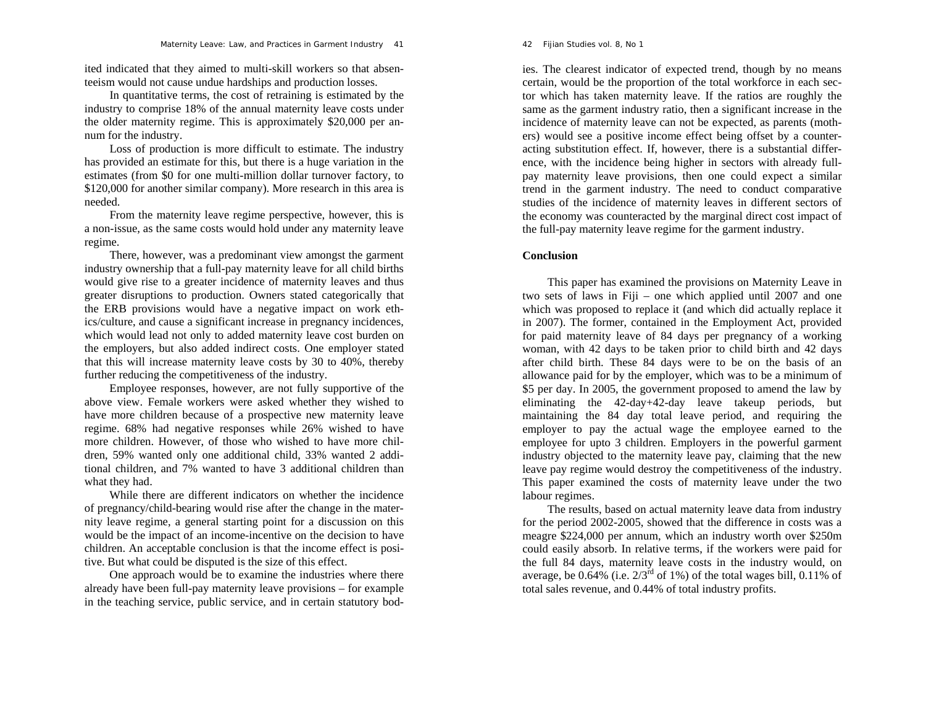ited indicated that they aimed to multi-skill workers so that absenteeism would not cause undue hardships and production losses.

In quantitative terms, the cost of retraining is estimated by the industry to comprise 18% of the annual maternity leave costs under the older maternity regime. This is approximately \$20,000 per annum for the industry.

Loss of production is more difficult to estimate. The industry has provided an estimate for this, but there is a huge variation in the estimates (from \$0 for one multi-million dollar turnover factory, to \$120,000 for another similar company). More research in this area is needed.

From the maternity leave regime perspective, however, this is a non-issue, as the same costs would hold under any maternity leave regime.

There, however, was a predominant view amongst the garment industry ownership that a full-pay maternity leave for all child births would give rise to a greater incidence of maternity leaves and thus greater disruptions to production. Owners stated categorically that the ERB provisions would have a negative impact on work ethics/culture, and cause a significant increase in pregnancy incidences, which would lead not only to added maternity leave cost burden on the employers, but also added indirect costs. One employer stated that this will increase maternity leave costs by 30 to 40%, thereby further reducing the competitiveness of the industry.

Employee responses, however, are not fully supportive of the above view. Female workers were asked whether they wished to have more children because of a prospective new maternity leave regime. 68% had negative responses while 26% wished to have more children. However, of those who wished to have more children, 59% wanted only one additional child, 33% wanted 2 additional children, and 7% wanted to have 3 additional children than what they had.

While there are different indicators on whether the incidence of pregnancy/child-bearing would rise after the change in the maternity leave regime, a general starting point for a discussion on this would be the impact of an income-incentive on the decision to have children. An acceptable conclusion is that the income effect is positive. But what could be disputed is the size of this effect.

One approach would be to examine the industries where there already have been full-pay maternity leave provisions – for example in the teaching service, public service, and in certain statutory bod-

#### 42 *Fijian Studies* vol. 8, No 1

ies. The clearest indicator of expected trend, though by no means certain, would be the proportion of the total workforce in each sec tor which has taken maternity leave. If the ratios are roughly the same as the garment industry ratio, then a significant increase in the incidence of maternity leave can not be expected, as parents (moth ers) would see a positive income effect being offset by a counter acting substitution effect. If, however, there is a substantial differ ence, with the incidence being higher in sectors with already full pay maternity leave provisions, then one could expect a similar trend in the garment industry. The need to conduct comparative studies of the incidence of maternity leaves in different sectors of the economy was counteract

# **Conclusion**

This paper has examined the provisions on Maternity Leave in<br>two sets of laws in Fiji – one which applied until 2007 and one<br>which was proposed to replace it (and which did actually replace it<br>in 2007). The former, contai